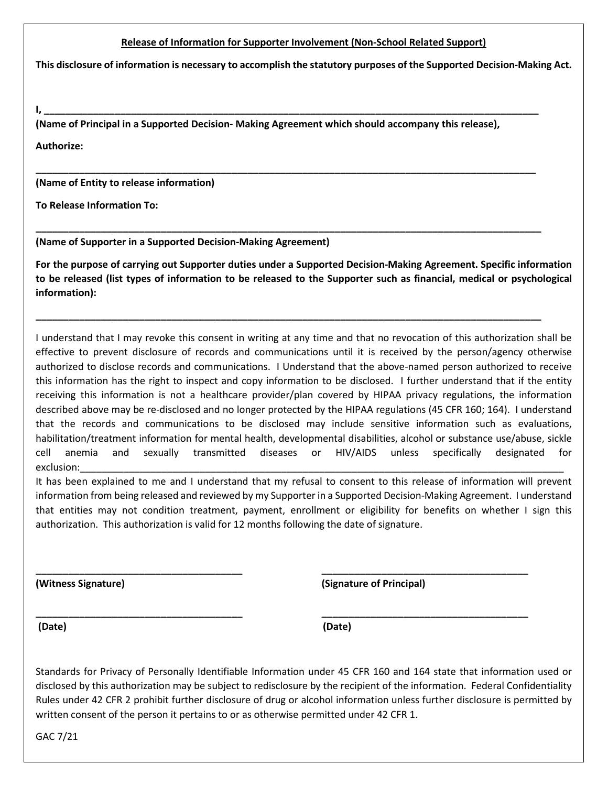## **Release of Information for Supporter Involvement (Non-School Related Support)**

**This disclosure of information is necessary to accomplish the statutory purposes of the Supported Decision-Making Act.**

**I, \_\_\_\_\_\_\_\_\_\_\_\_\_\_\_\_\_\_\_\_\_\_\_\_\_\_\_\_\_\_\_\_\_\_\_\_\_\_\_\_\_\_\_\_\_\_\_\_\_\_\_\_\_\_\_\_\_\_\_\_\_\_\_\_\_\_\_\_\_\_\_\_\_\_\_\_\_\_\_\_\_\_\_\_\_\_\_\_\_\_\_**

**(Name of Principal in a Supported Decision- Making Agreement which should accompany this release),** 

**\_\_\_\_\_\_\_\_\_\_\_\_\_\_\_\_\_\_\_\_\_\_\_\_\_\_\_\_\_\_\_\_\_\_\_\_\_\_\_\_\_\_\_\_\_\_\_\_\_\_\_\_\_\_\_\_\_\_\_\_\_\_\_\_\_\_\_\_\_\_\_\_\_\_\_\_\_\_\_\_\_\_\_\_\_\_\_\_\_\_\_\_** 

**\_\_\_\_\_\_\_\_\_\_\_\_\_\_\_\_\_\_\_\_\_\_\_\_\_\_\_\_\_\_\_\_\_\_\_\_\_\_\_\_\_\_\_\_\_\_\_\_\_\_\_\_\_\_\_\_\_\_\_\_\_\_\_\_\_\_\_\_\_\_\_\_\_\_\_\_\_\_\_\_\_\_\_\_\_\_\_\_\_\_\_\_\_**

**\_\_\_\_\_\_\_\_\_\_\_\_\_\_\_\_\_\_\_\_\_\_\_\_\_\_\_\_\_\_\_\_\_\_\_\_\_\_\_\_\_\_\_\_\_\_\_\_\_\_\_\_\_\_\_\_\_\_\_\_\_\_\_\_\_\_\_\_\_\_\_\_\_\_\_\_\_\_\_\_\_\_\_\_\_\_\_\_\_\_\_\_\_**

**Authorize:**

**(Name of Entity to release information)**

**To Release Information To:** 

**(Name of Supporter in a Supported Decision-Making Agreement)**

**For the purpose of carrying out Supporter duties under a Supported Decision-Making Agreement. Specific information to be released (list types of information to be released to the Supporter such as financial, medical or psychological information):**

I understand that I may revoke this consent in writing at any time and that no revocation of this authorization shall be effective to prevent disclosure of records and communications until it is received by the person/agency otherwise authorized to disclose records and communications. I Understand that the above-named person authorized to receive this information has the right to inspect and copy information to be disclosed. I further understand that if the entity receiving this information is not a healthcare provider/plan covered by HIPAA privacy regulations, the information described above may be re-disclosed and no longer protected by the HIPAA regulations (45 CFR 160; 164). I understand that the records and communications to be disclosed may include sensitive information such as evaluations, habilitation/treatment information for mental health, developmental disabilities, alcohol or substance use/abuse, sickle cell anemia and sexually transmitted diseases or HIV/AIDS unless specifically designated for exclusion:\_\_\_\_\_\_\_\_\_\_\_\_\_\_\_\_\_\_\_\_\_\_\_\_\_\_\_\_\_\_\_\_\_\_\_\_\_\_\_\_\_\_\_\_\_\_\_\_\_\_\_\_\_\_\_\_\_\_\_\_\_\_\_\_\_\_\_\_\_\_\_\_\_\_\_\_\_\_\_\_\_\_\_\_\_\_\_\_\_

It has been explained to me and I understand that my refusal to consent to this release of information will prevent information from being released and reviewed by my Supporter in a Supported Decision-Making Agreement. I understand that entities may not condition treatment, payment, enrollment or eligibility for benefits on whether I sign this authorization. This authorization is valid for 12 months following the date of signature.

**\_\_\_\_\_\_\_\_\_\_\_\_\_\_\_\_\_\_\_\_\_\_\_\_\_\_\_\_\_\_\_\_\_\_\_\_\_\_ \_\_\_\_\_\_\_\_\_\_\_\_\_\_\_\_\_\_\_\_\_\_\_\_\_\_\_\_\_\_\_\_\_\_\_\_\_\_**

**\_\_\_\_\_\_\_\_\_\_\_\_\_\_\_\_\_\_\_\_\_\_\_\_\_\_\_\_\_\_\_\_\_\_\_\_\_\_ \_\_\_\_\_\_\_\_\_\_\_\_\_\_\_\_\_\_\_\_\_\_\_\_\_\_\_\_\_\_\_\_\_\_\_\_\_\_**

**(Witness Signature) (Signature of Principal)**

**(Date) (Date)**

Standards for Privacy of Personally Identifiable Information under 45 CFR 160 and 164 state that information used or disclosed by this authorization may be subject to redisclosure by the recipient of the information. Federal Confidentiality Rules under 42 CFR 2 prohibit further disclosure of drug or alcohol information unless further disclosure is permitted by written consent of the person it pertains to or as otherwise permitted under 42 CFR 1.

GAC 7/21